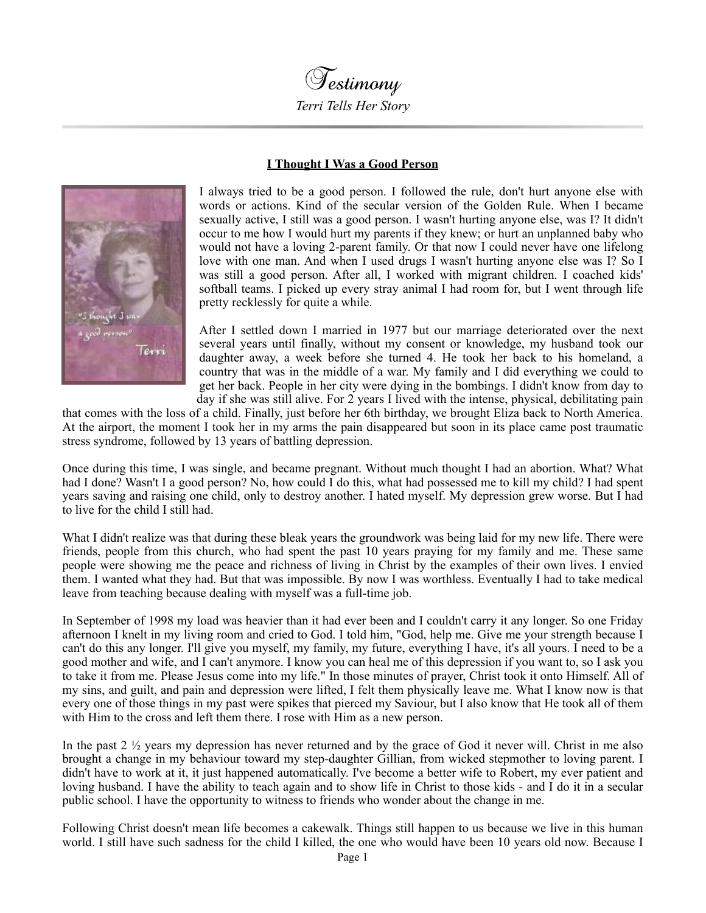

## **I Thought I Was a Good Person**



I always tried to be a good person. I followed the rule, don't hurt anyone else with words or actions. Kind of the secular version of the Golden Rule. When I became sexually active, I still was a good person. I wasn't hurting anyone else, was I? It didn't occur to me how I would hurt my parents if they knew; or hurt an unplanned baby who would not have a loving 2-parent family. Or that now I could never have one lifelong love with one man. And when I used drugs I wasn't hurting anyone else was I? So I was still a good person. After all, I worked with migrant children. I coached kids' softball teams. I picked up every stray animal I had room for, but I went through life pretty recklessly for quite a while.

After I settled down I married in 1977 but our marriage deteriorated over the next several years until finally, without my consent or knowledge, my husband took our daughter away, a week before she turned 4. He took her back to his homeland, a country that was in the middle of a war. My family and I did everything we could to get her back. People in her city were dying in the bombings. I didn't know from day to day if she was still alive. For 2 years I lived with the intense, physical, debilitating pain

that comes with the loss of a child. Finally, just before her 6th birthday, we brought Eliza back to North America. At the airport, the moment I took her in my arms the pain disappeared but soon in its place came post traumatic stress syndrome, followed by 13 years of battling depression.

Once during this time, I was single, and became pregnant. Without much thought I had an abortion. What? What had I done? Wasn't I a good person? No, how could I do this, what had possessed me to kill my child? I had spent years saving and raising one child, only to destroy another. I hated myself. My depression grew worse. But I had to live for the child I still had.

What I didn't realize was that during these bleak years the groundwork was being laid for my new life. There were friends, people from this church, who had spent the past 10 years praying for my family and me. These same people were showing me the peace and richness of living in Christ by the examples of their own lives. I envied them. I wanted what they had. But that was impossible. By now I was worthless. Eventually I had to take medical leave from teaching because dealing with myself was a full-time job.

In September of 1998 my load was heavier than it had ever been and I couldn't carry it any longer. So one Friday afternoon I knelt in my living room and cried to God. I told him, "God, help me. Give me your strength because I can't do this any longer. I'll give you myself, my family, my future, everything I have, it's all yours. I need to be a good mother and wife, and I can't anymore. I know you can heal me of this depression if you want to, so I ask you to take it from me. Please Jesus come into my life." In those minutes of prayer, Christ took it onto Himself. All of my sins, and guilt, and pain and depression were lifted, I felt them physically leave me. What I know now is that every one of those things in my past were spikes that pierced my Saviour, but I also know that He took all of them with Him to the cross and left them there. I rose with Him as a new person.

In the past 2 ½ years my depression has never returned and by the grace of God it never will. Christ in me also brought a change in my behaviour toward my step-daughter Gillian, from wicked stepmother to loving parent. I didn't have to work at it, it just happened automatically. I've become a better wife to Robert, my ever patient and loving husband. I have the ability to teach again and to show life in Christ to those kids - and I do it in a secular public school. I have the opportunity to witness to friends who wonder about the change in me.

Following Christ doesn't mean life becomes a cakewalk. Things still happen to us because we live in this human world. I still have such sadness for the child I killed, the one who would have been 10 years old now. Because I